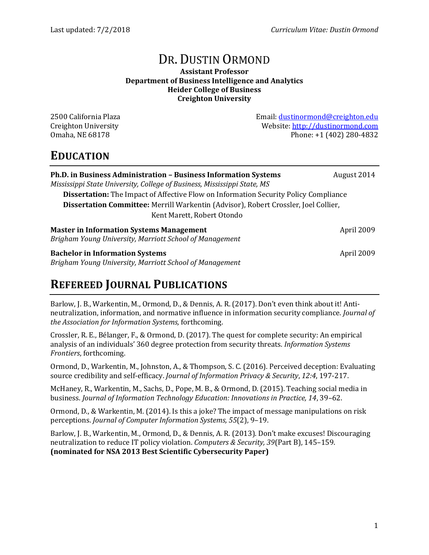# DR. DUSTIN ORMOND

#### **Assistant Professor Department of Business Intelligence and Analytics Heider College of Business Creighton University**

2500 California Plaza Email: [dustinormond@creighton.edu](mailto:dustinormond@creighton.edu) Creighton University Website: [http://dustinormond.com](http://dustinormond.com/) Omaha, NE 68178 **Phone: +1 (402) 280-4832** 

### **EDUCATION**

| Ph.D. in Business Administration - Business Information Systems                             | August 2014 |
|---------------------------------------------------------------------------------------------|-------------|
| Mississippi State University, College of Business, Mississippi State, MS                    |             |
| <b>Dissertation:</b> The Impact of Affective Flow on Information Security Policy Compliance |             |
| Dissertation Committee: Merrill Warkentin (Advisor), Robert Crossler, Joel Collier,         |             |
| Kent Marett, Robert Otondo                                                                  |             |
| <b>Master in Information Systems Management</b>                                             | April 2009  |
| Brigham Young University, Marriott School of Management                                     |             |
| <b>Bachelor in Information Systems</b>                                                      | April 2009  |
| Brigham Young University, Marriott School of Management                                     |             |

## **REFEREED JOURNAL PUBLICATIONS**

Barlow, J. B., Warkentin, M., Ormond, D., & Dennis, A. R. (2017). Don't even think about it! Antineutralization, information, and normative influence in information security compliance. *Journal of the Association for Information Systems,* forthcoming.

Crossler, R. E., Bélanger, F., & Ormond, D. (2017). The quest for complete security: An empirical analysis of an individuals' 360 degree protection from security threats. *Information Systems Frontiers*, forthcoming.

Ormond, D., Warkentin, M., Johnston, A., & Thompson, S. C. (2016). Perceived deception: Evaluating source credibility and self-efficacy. *Journal of Information Privacy & Security*, *12:4*, 197-217.

McHaney, R., Warkentin, M., Sachs, D., Pope, M. B., & Ormond, D. (2015). Teaching social media in business. *Journal of Information Technology Education: Innovations in Practice, 14*, 39–62.

Ormond, D., & Warkentin, M. (2014). Is this a joke? The impact of message manipulations on risk perceptions. *Journal of Computer Information Systems, 55*(2), 9–19.

Barlow, J. B., Warkentin, M., Ormond, D., & Dennis, A. R. (2013). Don't make excuses! Discouraging neutralization to reduce IT policy violation. *Computers & Security, 39*(Part B), 145–159. **(nominated for NSA 2013 Best Scientific Cybersecurity Paper)**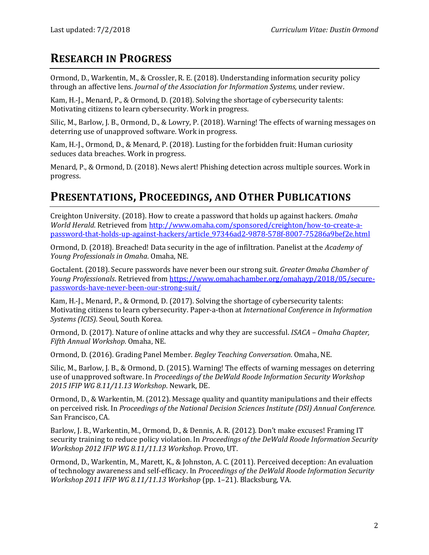## **RESEARCH IN PROGRESS**

Ormond, D., Warkentin, M., & Crossler, R. E. (2018). Understanding information security policy through an affective lens. *Journal of the Association for Information Systems,* under review.

Kam, H.-J., Menard, P., & Ormond, D. (2018). Solving the shortage of cybersecurity talents: Motivating citizens to learn cybersecurity. Work in progress.

Silic, M., Barlow, J. B., Ormond, D., & Lowry, P. (2018). Warning! The effects of warning messages on deterring use of unapproved software. Work in progress.

Kam, H.-J., Ormond, D., & Menard, P. (2018). Lusting for the forbidden fruit: Human curiosity seduces data breaches. Work in progress.

Menard, P., & Ormond, D. (2018). News alert! Phishing detection across multiple sources. Work in progress.

## **PRESENTATIONS, PROCEEDINGS, AND OTHER PUBLICATIONS**

Creighton University. (2018). How to create a password that holds up against hackers. *Omaha World Herald*. Retrieved fro[m http://www.omaha.com/sponsored/creighton/how-to-create-a](http://www.omaha.com/sponsored/creighton/how-to-create-a-password-that-holds-up-against-hackers/article_97346ad2-9878-578f-8007-75286a9bef2e.html)[password-that-holds-up-against-hackers/article\\_97346ad2-9878-578f-8007-75286a9bef2e.html](http://www.omaha.com/sponsored/creighton/how-to-create-a-password-that-holds-up-against-hackers/article_97346ad2-9878-578f-8007-75286a9bef2e.html)

Ormond, D. (2018). Breached! Data security in the age of infiltration. Panelist at the *Academy of Young Professionals in Omaha*. Omaha, NE.

Goctalent. (2018). Secure passwords have never been our strong suit. *Greater Omaha Chamber of Young Professionals*. Retrieved from [https://www.omahachamber.org/omahayp/2018/05/secure](https://www.omahachamber.org/omahayp/2018/05/secure-passwords-have-never-been-our-strong-suit/)[passwords-have-never-been-our-strong-suit/](https://www.omahachamber.org/omahayp/2018/05/secure-passwords-have-never-been-our-strong-suit/)

Kam, H.-J., Menard, P., & Ormond, D. (2017). Solving the shortage of cybersecurity talents: Motivating citizens to learn cybersecurity. Paper-a-thon at *International Conference in Information Systems (ICIS)*. Seoul, South Korea.

Ormond, D. (2017). Nature of online attacks and why they are successful. *ISACA – Omaha Chapter, Fifth Annual Workshop*. Omaha, NE.

Ormond, D. (2016). Grading Panel Member. *Begley Teaching Conversation*. Omaha, NE.

Silic, M., Barlow, J. B., & Ormond, D. (2015). Warning! The effects of warning messages on deterring use of unapproved software. In *Proceedings of the DeWald Roode Information Security Workshop 2015 IFIP WG 8.11/11.13 Workshop*. Newark, DE.

Ormond, D., & Warkentin, M. (2012). Message quality and quantity manipulations and their effects on perceived risk. In *Proceedings of the National Decision Sciences Institute (DSI) Annual Conference.*  San Francisco, CA.

Barlow, J. B., Warkentin, M., Ormond, D., & Dennis, A. R. (2012). Don't make excuses! Framing IT security training to reduce policy violation. In *Proceedings of the DeWald Roode Information Security Workshop 2012 IFIP WG 8.11/11.13 Workshop*. Provo, UT.

Ormond, D., Warkentin, M., Marett, K., & Johnston, A. C. (2011). Perceived deception: An evaluation of technology awareness and self-efficacy. In *Proceedings of the DeWald Roode Information Security Workshop 2011 IFIP WG 8.11/11.13 Workshop* (pp. 1–21). Blacksburg, VA.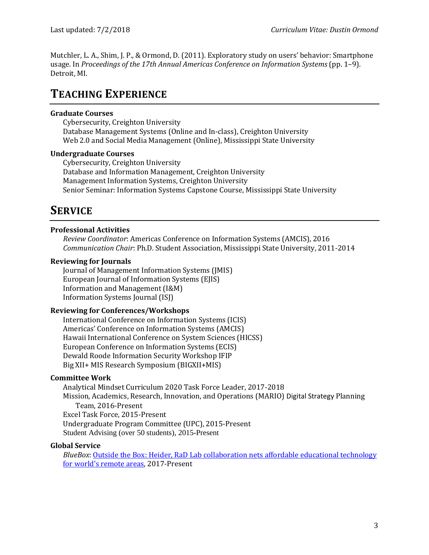Mutchler, L. A., Shim, J. P., & Ormond, D. (2011). Exploratory study on users' behavior: Smartphone usage. In *Proceedings of the 17th Annual Americas Conference on Information Systems* (pp. 1–9). Detroit, MI.

### **TEACHING EXPERIENCE**

#### **Graduate Courses**

Cybersecurity, Creighton University Database Management Systems (Online and In-class), Creighton University Web 2.0 and Social Media Management (Online), Mississippi State University

#### **Undergraduate Courses**

Cybersecurity, Creighton University Database and Information Management, Creighton University Management Information Systems, Creighton University Senior Seminar: Information Systems Capstone Course, Mississippi State University

## **SERVICE**

#### **Professional Activities**

*Review Coordinator*: Americas Conference on Information Systems (AMCIS), 2016 *Communication Chair*: Ph.D. Student Association, Mississippi State University, 2011-2014

#### **Reviewing for Journals**

Journal of Management Information Systems (JMIS) European Journal of Information Systems (EJIS) Information and Management (I&M) Information Systems Journal (ISJ)

#### **Reviewing for Conferences/Workshops**

International Conference on Information Systems (ICIS) Americas' Conference on Information Systems (AMCIS) Hawaii International Conference on System Sciences (HICSS) European Conference on Information Systems (ECIS) Dewald Roode Information Security Workshop IFIP Big XII+ MIS Research Symposium (BIGXII+MIS)

#### **Committee Work**

Analytical Mindset Curriculum 2020 Task Force Leader, 2017-2018 Mission, Academics, Research, Innovation, and Operations (MARIO) Digital Strategy Planning Team, 2016-Present Excel Task Force, 2015-Present Undergraduate Program Committee (UPC), 2015-Present Student Advising (over 50 students), 2015-Present

#### **Global Service**

*BlueBox*: Outside the Box: Heider, RaD [Lab collaboration nets affordable educational technology](http://www.creighton.edu/publicrelations/newscenter/news/2017/november2017/november132017/blueboxnr111317/)  [for world's remote areas,](http://www.creighton.edu/publicrelations/newscenter/news/2017/november2017/november132017/blueboxnr111317/) 2017-Present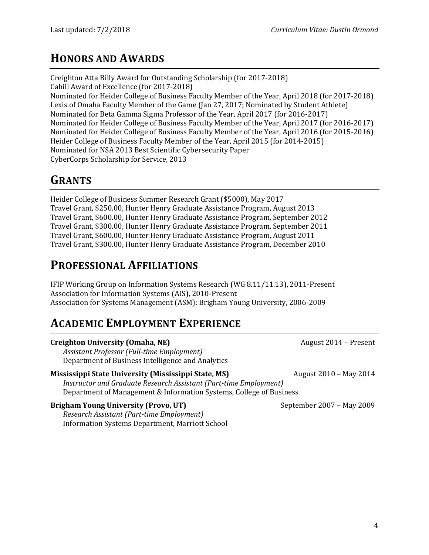### **HONORS AND AWARDS**

Creighton Atta Billy Award for Outstanding Scholarship (for 2017-2018) Cahill Award of Excellence (for 2017-2018) Nominated for Heider College of Business Faculty Member of the Year, April 2018 (for 2017-2018) Lexis of Omaha Faculty Member of the Game (Jan 27, 2017; Nominated by Student Athlete) Nominated for Beta Gamma Sigma Professor of the Year, April 2017 (for 2016-2017) Nominated for Heider College of Business Faculty Member of the Year, April 2017 (for 2016-2017) Nominated for Heider College of Business Faculty Member of the Year, April 2016 (for 2015-2016) Heider College of Business Faculty Member of the Year, April 2015 (for 2014-2015) Nominated for NSA 2013 Best Scientific Cybersecurity Paper CyberCorps Scholarship for Service, 2013

### **GRANTS**

Heider College of Business Summer Research Grant (\$5000), May 2017 Travel Grant, \$250.00, Hunter Henry Graduate Assistance Program, August 2013 Travel Grant, \$600.00, Hunter Henry Graduate Assistance Program, September 2012 Travel Grant, \$300.00, Hunter Henry Graduate Assistance Program, September 2011 Travel Grant, \$600.00, Hunter Henry Graduate Assistance Program, August 2011 Travel Grant, \$300.00, Hunter Henry Graduate Assistance Program, December 2010

## **PROFESSIONAL AFFILIATIONS**

IFIP Working Group on Information Systems Research (WG 8.11/11.13), 2011-Present Association for Information Systems (AIS), 2010-Present Association for Systems Management (ASM): Brigham Young University, 2006-2009

## **ACADEMIC EMPLOYMENT EXPERIENCE**

| <b>Creighton University (Omaha, NE)</b>                             | August 2014 - Present     |
|---------------------------------------------------------------------|---------------------------|
| Assistant Professor (Full-time Employment)                          |                           |
| Department of Business Intelligence and Analytics                   |                           |
| Mississippi State University (Mississippi State, MS)                | August 2010 - May 2014    |
| Instructor and Graduate Research Assistant (Part-time Employment)   |                           |
| Department of Management & Information Systems, College of Business |                           |
| <b>Brigham Young University (Provo, UT)</b>                         | September 2007 - May 2009 |
| Research Assistant (Part-time Employment)                           |                           |
| <b>Information Systems Department, Marriott School</b>              |                           |